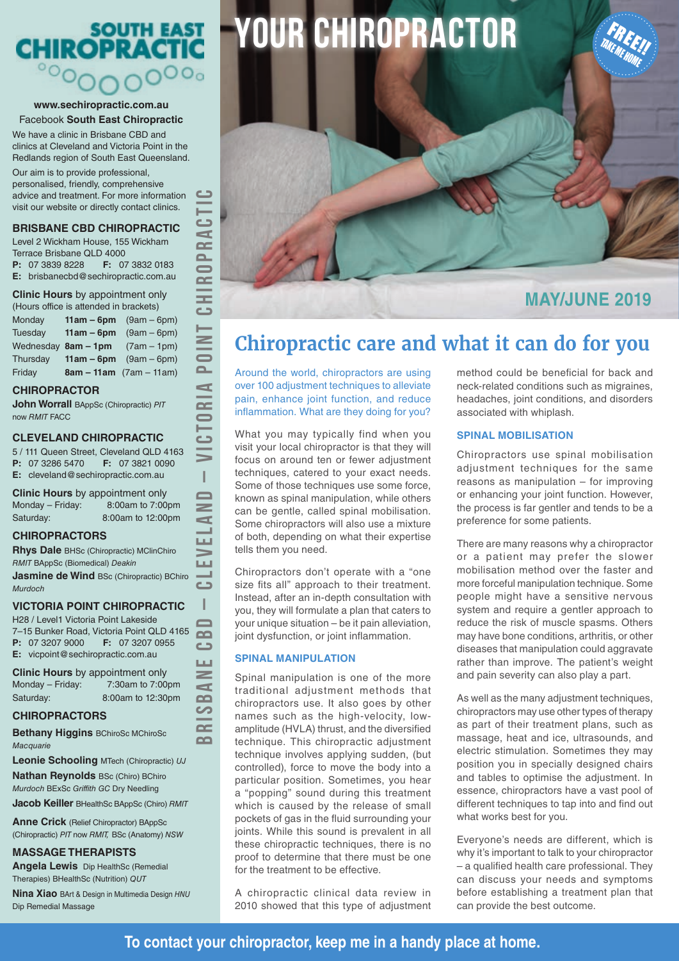# SOUTH EAST<br>CHIROPRACTIC

#### **www.sechiropractic.com.au** Facebook **South East Chiropractic**

We have a clinic in Brisbane CBD and clinics at Cleveland and Victoria Point in the Redlands region of South East Queensland.

Our aim is to provide professional, personalised, friendly, comprehensive advice and treatment. For more information visit our website or directly contact clinics.

### **BRISBANE CBD CHIROPRACTIC**

Level 2 Wickham House, 155 Wickham Terrace Brisbane QLD 4000

**P:** 07 3839 8228 **F:** 07 3832 0183 **E:** brisbanecbd@sechiropractic.com.au

**Clinic Hours** by appointment only (Hours office is attended in brackets)

| Monday   | <b>11am – 6pm</b> $(9am - 6pm)$   |
|----------|-----------------------------------|
| Tuesday  | <b>11am – 6pm</b> $(9am - 6pm)$   |
|          | Wednesday $8am - 1pm$ (7am - 1pm) |
| Thursday | <b>11am – 6pm</b> $(9am - 6pm)$   |
| Friday   | $8am - 11am$ (7am – 11am)         |

#### **CHIROPRACTOR**

**John Worrall** BAppSc (Chiropractic) *PIT* now *RMIT* FACC

### **CLEVELAND CHIROPRACTIC**

5 / 111 Queen Street, Cleveland QLD 4163 **P:** 07 3286 5470 **F:** 07 3821 0090 **E:** cleveland@sechiropractic.com.au

**BRISBANE CBD – CLEVELAND – VICTORIA POINT CHIROPRACTIC**

Ï  $\blacksquare$  $\geq$  $\blacksquare$  $\blacksquare$ LЦ LШ J.  $\Box$ I  $\Box$  $\sim$  $\epsilon$ **LLI**  $\geq$  $\blacksquare$  $\Omega$ S  $\sim$  $\sim$ 

 $\sim$ 

ت  $\blacksquare$  $\sim$  $\sim$  $\blacksquare$  $\sim$  $\equiv$  $\Box$ 

 $\geq$  $\overline{\bullet}$  $\sim$  $\blacktriangleleft$  $\sim$  $\bullet$ دة

**Clinic Hours** by appointment only Monday – Friday: 8:00am to 7:00pm Saturday: 8:00am to 12:00pm

#### **CHIROPRACTORS**

**Rhys Dale** BHSc (Chiropractic) MClinChiro *RMIT* BAppSc (Biomedical) *Deakin*

**Jasmine de Wind BSc (Chiropractic) BChiro** *Murdoch*

### **VICTORIA POINT CHIROPRACTIC**

H28 / Level1 Victoria Point Lakeside 7–15 Bunker Road, Victoria Point QLD 4165 **P:** 07 3207 9000 **F:** 07 3207 0955 **E:** vicpoint@sechiropractic.com.au

**Clinic Hours** by appointment only Monday – Friday: 7:30am to 7:00pm Saturday: 8:00am to 12:30pm

### **CHIROPRACTORS**

**Bethany Higgins** BChiroSc MChiroSc *Macquarie*

**Leonie Schooling** MTech (Chiropractic) *UJ*

**Nathan Reynolds** BSc (Chiro) BChiro *Murdoch* BExSc *Griffith GC* Dry Needling

**Jacob Keiller** BHealthSc BAppSc (Chiro) *RMIT*

**Anne Crick** (Relief Chiropractor) BAppSc (Chiropractic) *PIT* now *RMIT,* BSc (Anatomy) *NSW*

### **MASSAGE THERAPISTS**

**Angela Lewis** Dip HealthSc (Remedial Therapies) BHealthSc (Nutrition) *QUT*

**Nina Xiao** BArt & Design in Multimedia Design *HNU* Dip Remedial Massage

# **YOUR CHIROPRACTOR**



### **Chiropractic care and what it can do for you**

Around the world, chiropractors are using over 100 adjustment techniques to alleviate pain, enhance joint function, and reduce inflammation. What are they doing for you?

What you may typically find when you visit your local chiropractor is that they will focus on around ten or fewer adjustment techniques, catered to your exact needs. Some of those techniques use some force, known as spinal manipulation, while others can be gentle, called spinal mobilisation. Some chiropractors will also use a mixture of both, depending on what their expertise tells them you need.

Chiropractors don't operate with a "one size fits all" approach to their treatment. Instead, after an in-depth consultation with you, they will formulate a plan that caters to your unique situation – be it pain alleviation, joint dysfunction, or joint inflammation.

### **SPINAL MANIPULATION**

Spinal manipulation is one of the more traditional adjustment methods that chiropractors use. It also goes by other names such as the high-velocity, lowamplitude (HVLA) thrust, and the diversified technique. This chiropractic adjustment technique involves applying sudden, (but controlled), force to move the body into a particular position. Sometimes, you hear a "popping" sound during this treatment which is caused by the release of small pockets of gas in the fluid surrounding your joints. While this sound is prevalent in all these chiropractic techniques, there is no proof to determine that there must be one for the treatment to be effective.

A chiropractic clinical data review in 2010 showed that this type of adjustment method could be beneficial for back and neck-related conditions such as migraines, headaches, joint conditions, and disorders associated with whiplash.

TAKE ME HOME

### **SPINAL MOBILISATION**

Chiropractors use spinal mobilisation adjustment techniques for the same reasons as manipulation – for improving or enhancing your joint function. However, the process is far gentler and tends to be a preference for some patients.

There are many reasons why a chiropractor or a patient may prefer the slower mobilisation method over the faster and more forceful manipulation technique. Some people might have a sensitive nervous system and require a gentler approach to reduce the risk of muscle spasms. Others may have bone conditions, arthritis, or other diseases that manipulation could aggravate rather than improve. The patient's weight and pain severity can also play a part.

As well as the many adjustment techniques, chiropractors may use other types of therapy as part of their treatment plans, such as massage, heat and ice, ultrasounds, and electric stimulation. Sometimes they may position you in specially designed chairs and tables to optimise the adjustment. In essence, chiropractors have a vast pool of different techniques to tap into and find out what works best for you.

Everyone's needs are different, which is why it's important to talk to your chiropractor – a qualified health care professional. They can discuss your needs and symptoms before establishing a treatment plan that can provide the best outcome.

### **To contact your chiropractor, keep me in a handy place at home.**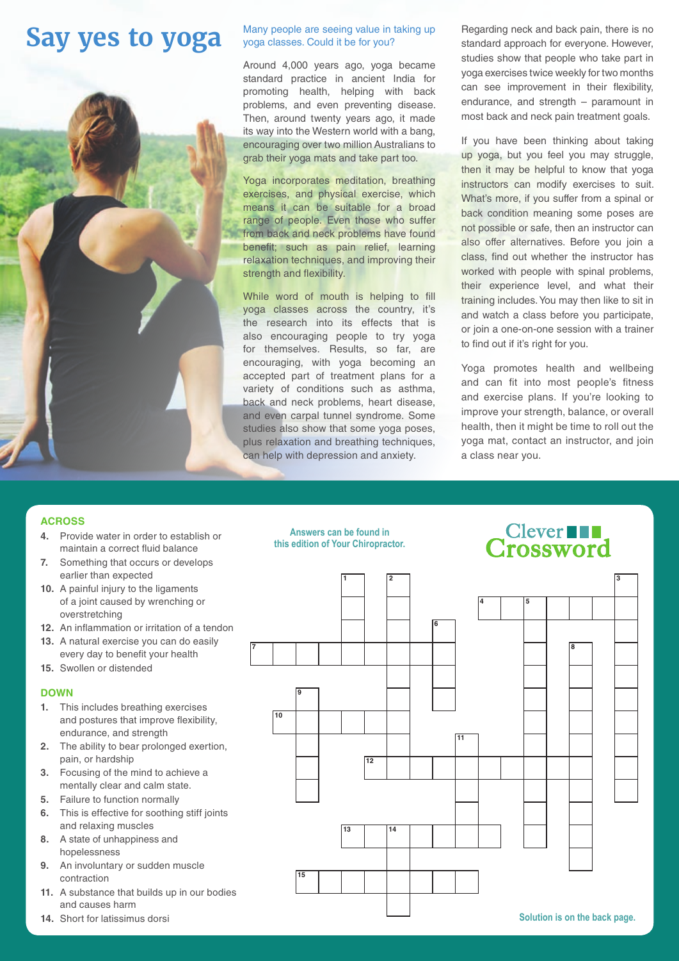## **Say yes to yoga**



### Many people are seeing value in taking up yoga classes. Could it be for you?

Around 4,000 years ago, yoga became standard practice in ancient India for promoting health, helping with back problems, and even preventing disease. Then, around twenty years ago, it made its way into the Western world with a bang, encouraging over two million Australians to grab their yoga mats and take part too.

Yoga incorporates meditation, breathing exercises, and physical exercise, which means it can be suitable for a broad range of people. Even those who suffer from back and neck problems have found benefit; such as pain relief, learning relaxation techniques, and improving their strength and flexibility.

While word of mouth is helping to fill yoga classes across the country, it's the research into its effects that is also encouraging people to try yoga for themselves. Results, so far, are encouraging, with yoga becoming an accepted part of treatment plans for a variety of conditions such as asthma, back and neck problems, heart disease, and even carpal tunnel syndrome. Some studies also show that some yoga poses, plus relaxation and breathing techniques, can help with depression and anxiety.

Regarding neck and back pain, there is no standard approach for everyone. However, studies show that people who take part in yoga exercises twice weekly for two months can see improvement in their flexibility, endurance, and strength – paramount in most back and neck pain treatment goals.

If you have been thinking about taking up yoga, but you feel you may struggle, then it may be helpful to know that yoga instructors can modify exercises to suit. What's more, if you suffer from a spinal or back condition meaning some poses are not possible or safe, then an instructor can also offer alternatives. Before you join a class, find out whether the instructor has worked with people with spinal problems. their experience level, and what their training includes. You may then like to sit in and watch a class before you participate, or join a one-on-one session with a trainer to find out if it's right for you.

Yoga promotes health and wellbeing and can fit into most people's fitness and exercise plans. If you're looking to improve your strength, balance, or overall health, then it might be time to roll out the yoga mat, contact an instructor, and join a class near you.

> **Clever Crossword**

### **ACROSS**

- **4.** Provide water in order to establish or maintain a correct fluid balance
- **7.** Something that occurs or develops earlier than expected
- **10.** A painful injury to the ligaments of a joint caused by wrenching or overstretching
- **12.** An inflammation or irritation of a tendon
- **13.** A natural exercise you can do easily every day to benefit your health
- **15.** Swollen or distended

### **DOWN**

- **1.** This includes breathing exercises and postures that improve flexibility, endurance, and strength
- **2.** The ability to bear prolonged exertion, pain, or hardship
- **3.** Focusing of the mind to achieve a mentally clear and calm state.
- **5.** Failure to function normally
- **6.** This is effective for soothing stiff joints and relaxing muscles
- **8.** A state of unhappiness and hopelessness
- **9.** An involuntary or sudden muscle contraction
- **11.** A substance that builds up in our bodies and causes harm
- 





**1 2 3**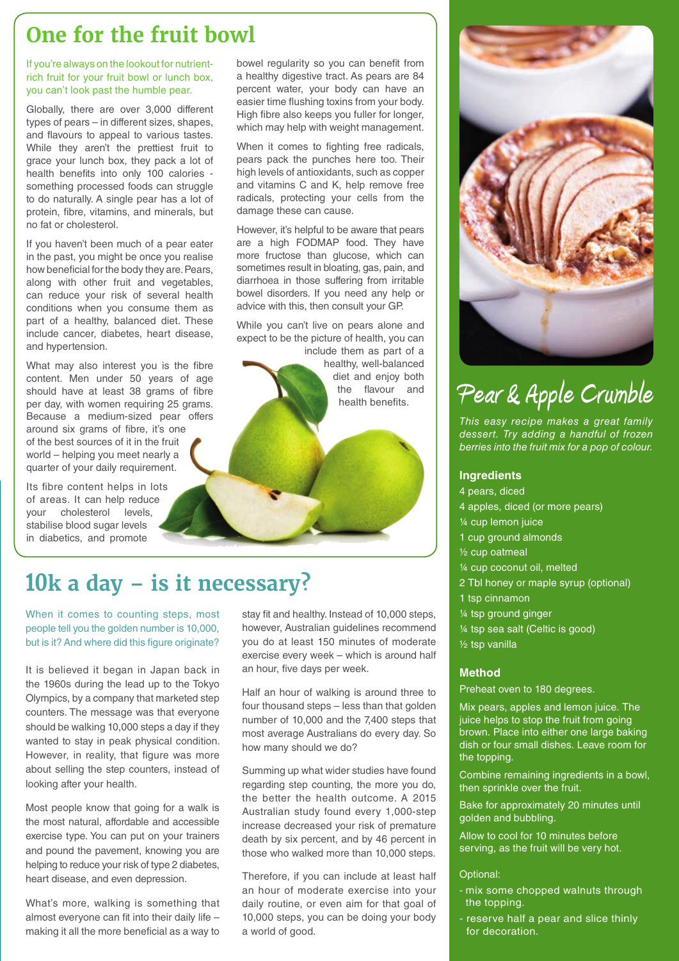### **One for the fruit bowl**

If you're always on the lookout for nutrientrich fruit for your fruit bowl or lunch box, you can't look past the humble pear.

Globally, there are over 3,000 different types of pears – in different sizes, shapes, and flavours to appeal to various tastes. While they aren't the prettiest fruit to grace your lunch box, they pack a lot of health benefits into only 100 calories something processed foods can struggle to do naturally. A single pear has a lot of protein, fibre, vitamins, and minerals, but no fat or cholesterol.

If you haven't been much of a pear eater in the past, you might be once you realise how beneficial for the body they are. Pears, along with other fruit and vegetables, can reduce your risk of several health conditions when you consume them as part of a healthy, balanced diet. These include cancer, diabetes, heart disease, and hypertension.

What may also interest you is the fibre content. Men under 50 years of age should have at least 38 grams of fibre per day, with women requiring 25 grams. Because a medium-sized pear offers around six grams of fibre, it's one of the best sources of it in the fruit world – helping you meet nearly a quarter of your daily requirement.

Its fibre content helps in lots of areas. It can help reduce your cholesterol levels, stabilise blood sugar levels in diabetics, and promote

bowel regularity so you can benefit from a healthy digestive tract. As pears are 84 percent water, your body can have an easier time flushing toxins from your body. High fibre also keeps you fuller for longer, which may help with weight management.

When it comes to fighting free radicals. pears pack the punches here too. Their high levels of antioxidants, such as copper and vitamins C and K, help remove free radicals, protecting your cells from the damage these can cause.

However, it's helpful to be aware that pears are a high FODMAP food. They have more fructose than glucose, which can sometimes result in bloating, gas, pain, and diarrhoea in those suffering from irritable bowel disorders. If you need any help or advice with this, then consult your GP.

While you can't live on pears alone and expect to be the picture of health, you can include them as part of a healthy, well-balanced diet and enjoy both the flavour and health benefits.

### **10k a day – is it necessary?**

When it comes to counting steps, most people tell you the golden number is 10,000, but is it? And where did this figure originate?

It is believed it began in Japan back in the 1960s during the lead up to the Tokyo Olympics, by a company that marketed step counters. The message was that everyone should be walking 10,000 steps a day if they wanted to stay in peak physical condition. However, in reality, that figure was more about selling the step counters, instead of looking after your health.

Most people know that going for a walk is the most natural, affordable and accessible exercise type. You can put on your trainers and pound the pavement, knowing you are helping to reduce your risk of type 2 diabetes, heart disease, and even depression.

What's more, walking is something that almost everyone can fit into their daily life – making it all the more beneficial as a way to

stay fit and healthy. Instead of 10,000 steps, however, Australian guidelines recommend you do at least 150 minutes of moderate exercise every week – which is around half an hour, five days per week.

Half an hour of walking is around three to four thousand steps – less than that golden number of 10,000 and the 7,400 steps that most average Australians do every day. So how many should we do?

Summing up what wider studies have found regarding step counting, the more you do, the better the health outcome. A 2015 Australian study found every 1,000-step increase decreased your risk of premature death by six percent, and by 46 percent in those who walked more than 10,000 steps.

Therefore, if you can include at least half an hour of moderate exercise into your daily routine, or even aim for that goal of 10,000 steps, you can be doing your body a world of good.



# **Pear & Apple Crumble**

*This easy recipe makes a great family dessert. Try adding a handful of frozen berries into the fruit mix for a pop of colour.*

### **Ingredients**

- 4 pears, diced
- 4 apples, diced (or more pears)
- ¼ cup lemon juice
- 1 cup ground almonds
- ½ cup oatmeal
- ¼ cup coconut oil, melted
- 2 Tbl honey or maple syrup (optional)
- 1 tsp cinnamon
- ¼ tsp ground ginger
- ¼ tsp sea salt (Celtic is good)
- ½ tsp vanilla

### **Method**

Preheat oven to 180 degrees.

Mix pears, apples and lemon juice. The juice helps to stop the fruit from going brown. Place into either one large baking dish or four small dishes. Leave room for the topping.

Combine remaining ingredients in a bowl, then sprinkle over the fruit.

Bake for approximately 20 minutes until golden and bubbling.

Allow to cool for 10 minutes before serving, as the fruit will be very hot.

### Optional:

- mix some chopped walnuts through the topping.
- reserve half a pear and slice thinly for decoration.